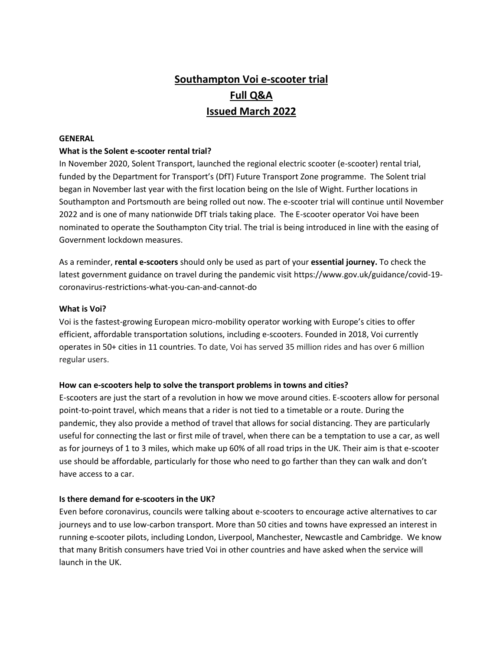# **Southampton Voi e-scooter trial Full Q&A Issued March 2022**

#### **GENERAL**

#### **What is the Solent e-scooter rental trial?**

In November 2020, Solent Transport, launched the regional electric scooter (e-scooter) rental trial, funded by the Department for Transport's (DfT) Future Transport Zone programme. The Solent trial began in November last year with the first location being on the Isle of Wight. Further locations in Southampton and Portsmouth are being rolled out now. The e-scooter trial will continue until November 2022 and is one of many nationwide DfT trials taking place. The E-scooter operator Voi have been nominated to operate the Southampton City trial. The trial is being introduced in line with the easing of Government lockdown measures.

As a reminder, **rental e-scooters** should only be used as part of your **essential journey.** To check the latest government guidance on travel during the pandemic visi[t https://www.gov.uk/guidance/covid-19](https://www.gov.uk/guidance/covid-19-coronavirus-restrictions-what-you-can-and-cannot-do) [coronavirus-restrictions-what-you-can-and-cannot-do](https://www.gov.uk/guidance/covid-19-coronavirus-restrictions-what-you-can-and-cannot-do)

#### **What is Voi?**

Voi is the fastest-growing European micro-mobility operator working with Europe's cities to offer efficient, affordable transportation solutions, including e-scooters. Founded in 2018, Voi currently operates in 50+ cities in 11 countries. To date, Voi has served 35 million rides and has over 6 million regular users.

### **How can e-scooters help to solve the transport problems in towns and cities?**

E-scooters are just the start of a revolution in how we move around cities. E-scooters allow for personal point-to-point travel, which means that a rider is not tied to a timetable or a route. During the pandemic, they also provide a method of travel that allows for social distancing. They are particularly useful for connecting the last or first mile of travel, when there can be a temptation to use a car, as well as for journeys of 1 to 3 miles, which make up 60% of all road trips in the UK. Their aim is that e-scooter use should be affordable, particularly for those who need to go farther than they can walk and don't have access to a car.

### **Is there demand for e-scooters in the UK?**

Even before coronavirus, councils were talking about e-scooters to encourage active alternatives to car journeys and to use low-carbon transport. More than 50 cities and towns have expressed an interest in running e-scooter pilots, including London, Liverpool, Manchester, Newcastle and Cambridge. We know that many British consumers have tried Voi in other countries and have asked when the service will launch in the UK.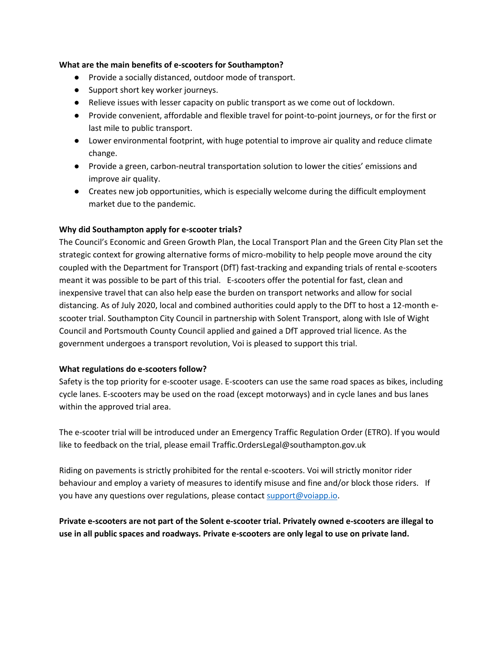#### **What are the main benefits of e-scooters for Southampton?**

- Provide a socially distanced, outdoor mode of transport.
- Support short key worker journeys.
- Relieve issues with lesser capacity on public transport as we come out of lockdown.
- Provide convenient, affordable and flexible travel for point-to-point journeys, or for the first or last mile to public transport.
- Lower environmental footprint, with huge potential to improve air quality and reduce climate change.
- Provide a green, carbon-neutral transportation solution to lower the cities' emissions and improve air quality.
- Creates new job opportunities, which is especially welcome during the difficult employment market due to the pandemic.

### **Why did Southampton apply for e-scooter trials?**

The Council's Economic and Green Growth Plan, the Local Transport Plan and the Green City Plan set the strategic context for growing alternative forms of micro-mobility to help people move around the city coupled with the Department for Transport (DfT) fast-tracking and expanding trials of rental e-scooters meant it was possible to be part of this trial. E-scooters offer the potential for fast, clean and inexpensive travel that can also help ease the burden on transport networks and allow for social distancing. As of July 2020, local and combined authorities could apply to the DfT to host a 12-month escooter trial. Southampton City Council in partnership with Solent Transport, along with Isle of Wight Council and Portsmouth County Council applied and gained a DfT approved trial licence. As the government undergoes a transport revolution, Voi is pleased to support this trial.

### **What regulations do e-scooters follow?**

Safety is the top priority for e-scooter usage. E-scooters can use the same road spaces as bikes, including cycle lanes. E-scooters may be used on the road (except motorways) and in cycle lanes and bus lanes within the approved trial area.

The e-scooter trial will be introduced under an Emergency Traffic Regulation Order (ETRO). If you would like to feedback on the trial, please email [Traffic.OrdersLegal@southampton.gov.uk](mailto:Traffic.Orders.Legal@southampton.gov.uk)

Riding on pavements is strictly prohibited for the rental e-scooters. Voi will strictly monitor rider behaviour and employ a variety of measures to identify misuse and fine and/or block those riders. If you have any questions over regulations, please contac[t support@voiapp.io.](mailto:support@voiapp.io)

**Private e-scooters are not part of the Solent e-scooter trial. Privately owned e-scooters are illegal to use in all public spaces and roadways. Private e-scooters are only legal to use on private land.**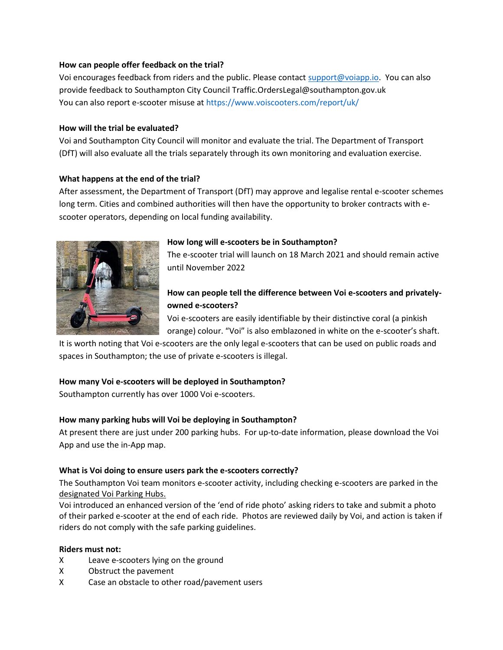### **How can people offer feedback on the trial?**

Voi encourages feedback from riders and the public. Please contact [support@voiapp.io.](mailto:support@voiapp.io) You can also provide feedback to Southampton City Counci[l Traffic.OrdersLegal@southampton.gov.uk](mailto:Traffic.Orders.Legal@southampton.gov.uk) You can also report e-scooter misuse at [https://www.voiscooters.com/report/uk/](https://urldefense.proofpoint.com/v2/url?u=https-3A__www.voiscooters.com_report_uk_&d=DwMFaQ&c=pbUzoxRZCRvayVvkYvkiMO6u1jPMdBrTZxWyx_2PsKs&r=aAjauI12nIwuuEmsNzF9cPliOyn6i84cmUswfu-RLDs&m=-YqYZhwyfppaHlXE7Xw0d18S2af6penZw42GxUVQD3Y&s=DoiUkaTvSYNvq01cIgMVdrH7gE9rY3y1ARSlHHBBjDw&e=)

# **How will the trial be evaluated?**

Voi and Southampton City Council will monitor and evaluate the trial. The Department of Transport (DfT) will also evaluate all the trials separately through its own monitoring and evaluation exercise.

# **What happens at the end of the trial?**

After assessment, the Department of Transport (DfT) may approve and legalise rental e-scooter schemes long term. Cities and combined authorities will then have the opportunity to broker contracts with escooter operators, depending on local funding availability.



# **How long will e-scooters be in Southampton?**

The e-scooter trial will launch on 18 March 2021 and should remain active until November 2022

# **How can people tell the difference between Voi e-scooters and privatelyowned e-scooters?**

Voi e-scooters are easily identifiable by their distinctive coral (a pinkish orange) colour. "Voi" is also emblazoned in white on the e-scooter's shaft.

It is worth noting that Voi e-scooters are the only legal e-scooters that can be used on public roads and spaces in Southampton; the use of private e-scooters is illegal.

# **How many Voi e-scooters will be deployed in Southampton?**

Southampton currently has over 1000 Voi e-scooters.

# **How many parking hubs will Voi be deploying in Southampton?**

At present there are just under 200 parking hubs. For up-to-date information, please download the Voi App and use the in-App map.

# **What is Voi doing to ensure users park the e-scooters correctly?**

The Southampton Voi team monitors e-scooter activity, including checking e-scooters are parked in the designated Voi Parking Hubs.

Voi introduced an enhanced version of the 'end of ride photo' asking riders to take and submit a photo of their parked e-scooter at the end of each ride. Photos are reviewed daily by Voi, and action is taken if riders do not comply with the safe parking guidelines.

# **Riders must not:**

- X Leave e-scooters lying on the ground
- X Obstruct the pavement
- X Case an obstacle to other road/pavement users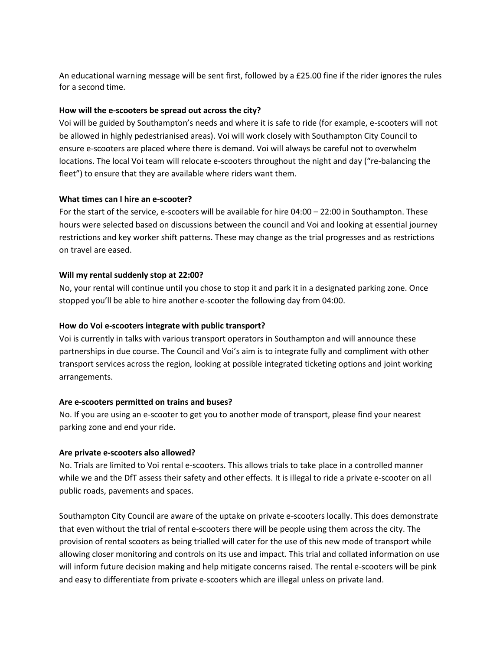An educational warning message will be sent first, followed by a £25.00 fine if the rider ignores the rules for a second time.

#### **How will the e-scooters be spread out across the city?**

Voi will be guided by Southampton's needs and where it is safe to ride (for example, e-scooters will not be allowed in highly pedestrianised areas). Voi will work closely with Southampton City Council to ensure e-scooters are placed where there is demand. Voi will always be careful not to overwhelm locations. The local Voi team will relocate e-scooters throughout the night and day ("re-balancing the fleet") to ensure that they are available where riders want them.

### **What times can I hire an e-scooter?**

For the start of the service, e-scooters will be available for hire 04:00 – 22:00 in Southampton. These hours were selected based on discussions between the council and Voi and looking at essential journey restrictions and key worker shift patterns. These may change as the trial progresses and as restrictions on travel are eased.

#### **Will my rental suddenly stop at 22:00?**

No, your rental will continue until you chose to stop it and park it in a designated parking zone. Once stopped you'll be able to hire another e-scooter the following day from 04:00.

#### **How do Voi e-scooters integrate with public transport?**

Voi is currently in talks with various transport operators in Southampton and will announce these partnerships in due course. The Council and Voi's aim is to integrate fully and compliment with other transport services across the region, looking at possible integrated ticketing options and joint working arrangements.

### **Are e-scooters permitted on trains and buses?**

No. If you are using an e-scooter to get you to another mode of transport, please find your nearest parking zone and end your ride.

#### **Are private e-scooters also allowed?**

No. Trials are limited to Voi rental e-scooters. This allows trials to take place in a controlled manner while we and the DfT assess their safety and other effects. It is illegal to ride a private e-scooter on all public roads, pavements and spaces.

Southampton City Council are aware of the uptake on private e-scooters locally. This does demonstrate that even without the trial of rental e-scooters there will be people using them across the city. The provision of rental scooters as being trialled will cater for the use of this new mode of transport while allowing closer monitoring and controls on its use and impact. This trial and collated information on use will inform future decision making and help mitigate concerns raised. The rental e-scooters will be pink and easy to differentiate from private e-scooters which are illegal unless on private land.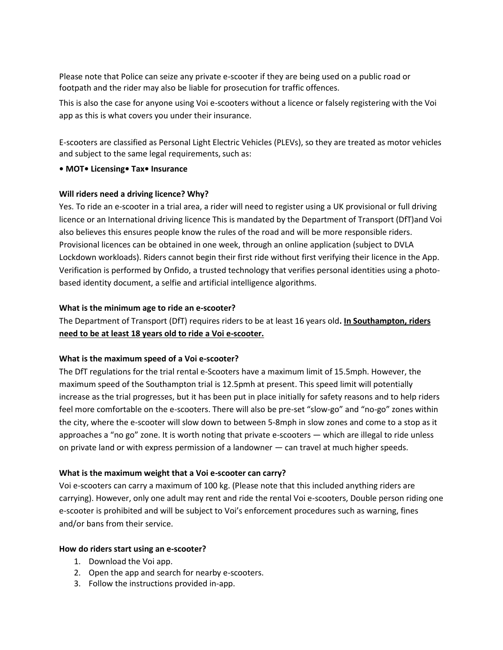Please note that Police can seize any private e-scooter if they are being used on a public road or footpath and the rider may also be liable for prosecution for traffic offences.

This is also the case for anyone using Voi e-scooters without a licence or falsely registering with the Voi app as this is what covers you under their insurance.

E-scooters are classified as Personal Light Electric Vehicles (PLEVs), so they are treated as motor vehicles and subject to the same legal requirements, such as:

#### **• MOT• Licensing• Tax• Insurance**

#### **Will riders need a driving licence? Why?**

Yes. To ride an e-scooter in a trial area, a rider will need to register using a UK provisional or full driving licence or an International driving licence This is mandated by the Department of Transport (DfT)and Voi also believes this ensures people know the rules of the road and will be more responsible riders. Provisional licences can be obtained in one week, through an online application (subject to DVLA Lockdown workloads). Riders cannot begin their first ride without first verifying their licence in the App. Verification is performed by Onfido, a trusted technology that verifies personal identities using a photobased identity document, a selfie and artificial intelligence algorithms.

#### **What is the minimum age to ride an e-scooter?**

The Department of Transport (DfT) requires riders to be at least 16 years old**. In Southampton, riders need to be at least 18 years old to ride a Voi e-scooter.** 

### **What is the maximum speed of a Voi e-scooter?**

The DfT regulations for the trial rental e-Scooters have a maximum limit of 15.5mph. However, the maximum speed of the Southampton trial is 12.5pmh at present. This speed limit will potentially increase as the trial progresses, but it has been put in place initially for safety reasons and to help riders feel more comfortable on the e-scooters. There will also be pre-set "slow-go" and "no-go" zones within the city, where the e-scooter will slow down to between 5-8mph in slow zones and come to a stop as it approaches a "no go" zone. It is worth noting that private e-scooters — which are illegal to ride unless on private land or with express permission of a landowner — can travel at much higher speeds.

### **What is the maximum weight that a Voi e-scooter can carry?**

Voi e-scooters can carry a maximum of 100 kg. (Please note that this included anything riders are carrying). However, only one adult may rent and ride the rental Voi e-scooters, Double person riding one e-scooter is prohibited and will be subject to Voi's enforcement procedures such as warning, fines and/or bans from their service.

#### **How do riders start using an e-scooter?**

- 1. Download the Voi app.
- 2. Open the app and search for nearby e-scooters.
- 3. Follow the instructions provided in-app.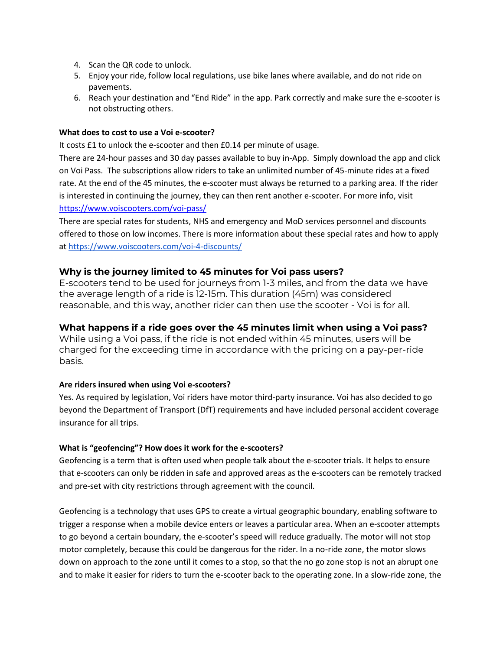- 4. Scan the QR code to unlock.
- 5. Enjoy your ride, follow local regulations, use bike lanes where available, and do not ride on pavements.
- 6. Reach your destination and "End Ride" in the app. Park correctly and make sure the e-scooter is not obstructing others.

### **What does to cost to use a Voi e-scooter?**

It costs £1 to unlock the e-scooter and then £0.14 per minute of usage.

There are 24-hour passes and 30 day passes available to buy in-App. Simply download the app and click on Voi Pass. The subscriptions allow riders to take an unlimited number of 45-minute rides at a fixed rate. At the end of the 45 minutes, the e-scooter must always be returned to a parking area. If the rider is interested in continuing the journey, they can then rent another e-scooter. For more info, visit <https://www.voiscooters.com/voi-pass/>

There are special rates for students, NHS and emergency and MoD services personnel and discounts offered to those on low incomes. There is more information about these special rates and how to apply a[t https://www.voiscooters.com/voi-4-discounts/](https://www.voiscooters.com/voi-4-discounts/)

# **Why is the journey limited to 45 minutes for Voi pass users?**

E-scooters tend to be used for journeys from 1-3 miles, and from the data we have the average length of a ride is 12-15m. This duration (45m) was considered reasonable, and this way, another rider can then use the scooter - Voi is for all.

# **What happens if a ride goes over the 45 minutes limit when using a Voi pass?**

While using a Voi pass, if the ride is not ended within 45 minutes, users will be charged for the exceeding time in accordance with the pricing on a pay-per-ride basis.

### **Are riders insured when using Voi e-scooters?**

Yes. As required by legislation, Voi riders have motor third-party insurance. Voi has also decided to go beyond the Department of Transport (DfT) requirements and have included personal accident coverage insurance for all trips.

### **What is "geofencing"? How does it work for the e-scooters?**

Geofencing is a term that is often used when people talk about the e-scooter trials. It helps to ensure that e-scooters can only be ridden in safe and approved areas as the e-scooters can be remotely tracked and pre-set with city restrictions through agreement with the council.

Geofencing is a technology that uses GPS to create a virtual geographic boundary, enabling software to trigger a response when a mobile device enters or leaves a particular area. When an e-scooter attempts to go beyond a certain boundary, the e-scooter's speed will reduce gradually. The motor will not stop motor completely, because this could be dangerous for the rider. In a no-ride zone, the motor slows down on approach to the zone until it comes to a stop, so that the no go zone stop is not an abrupt one and to make it easier for riders to turn the e-scooter back to the operating zone. In a slow-ride zone, the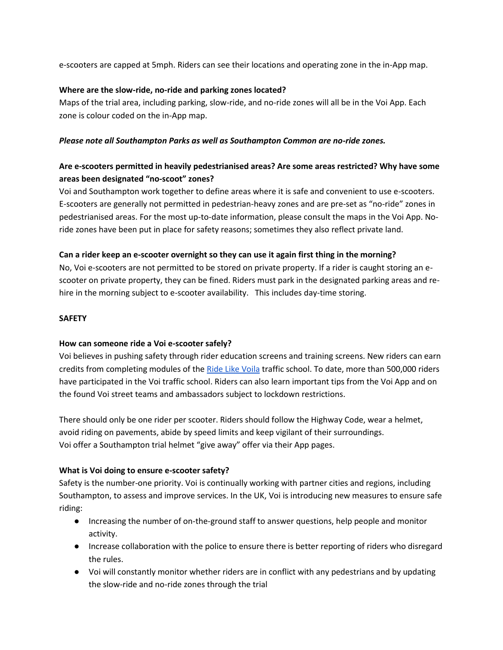e-scooters are capped at 5mph. Riders can see their locations and operating zone in the in-App map.

# **Where are the slow-ride, no-ride and parking zones located?**

Maps of the trial area, including parking, slow-ride, and no-ride zones will all be in the Voi App. Each zone is colour coded on the in-App map.

### *Please note all Southampton Parks as well as Southampton Common are no-ride zones.*

# **Are e-scooters permitted in heavily pedestrianised areas? Are some areas restricted? Why have some areas been designated "no-scoot" zones?**

Voi and Southampton work together to define areas where it is safe and convenient to use e-scooters. E-scooters are generally not permitted in pedestrian-heavy zones and are pre-set as "no-ride" zones in pedestrianised areas. For the most up-to-date information, please consult the maps in the Voi App. Noride zones have been put in place for safety reasons; sometimes they also reflect private land.

# **Can a rider keep an e-scooter overnight so they can use it again first thing in the morning?**

No, Voi e-scooters are not permitted to be stored on private property. If a rider is caught storing an escooter on private property, they can be fined. Riders must park in the designated parking areas and rehire in the morning subject to e-scooter availability. This includes day-time storing.

# **SAFETY**

# **How can someone ride a Voi e-scooter safely?**

Voi believes in pushing safety through rider education screens and training screens. New riders can earn credits from completing modules of th[e Ride Like Voila](https://ridelikevoila.com/enter) traffic school. To date, more than 500,000 riders have participated in the Voi traffic school. Riders can also learn important tips from the Voi App and on the found Voi street teams and ambassadors subject to lockdown restrictions.

There should only be one rider per scooter. Riders should follow the Highway Code, wear a helmet, avoid riding on pavements, abide by speed limits and keep vigilant of their surroundings. Voi offer a Southampton trial helmet "give away" offer via their App pages.

# **What is Voi doing to ensure e-scooter safety?**

Safety is the number-one priority. Voi is continually working with partner cities and regions, including Southampton, to assess and improve services. In the UK, Voi is introducing new measures to ensure safe riding:

- Increasing the number of on-the-ground staff to answer questions, help people and monitor activity.
- Increase collaboration with the police to ensure there is better reporting of riders who disregard the rules.
- Voi will constantly monitor whether riders are in conflict with any pedestrians and by updating the slow-ride and no-ride zones through the trial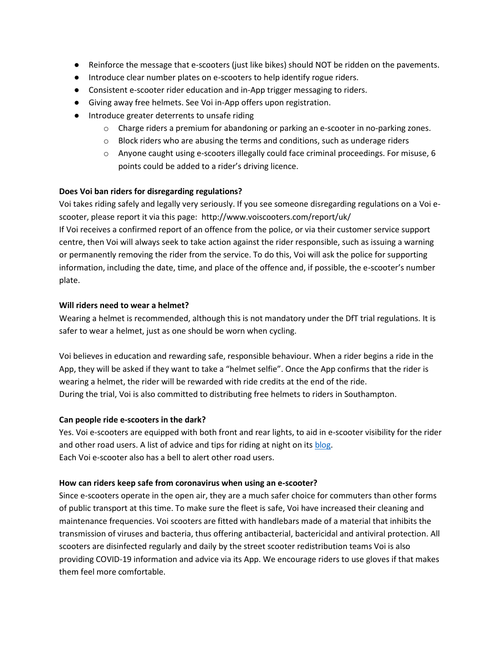- Reinforce the message that e-scooters (just like bikes) should NOT be ridden on the pavements.
- Introduce clear number plates on e-scooters to help identify rogue riders.
- Consistent e-scooter rider education and in-App trigger messaging to riders.
- Giving away free helmets. See Voi in-App offers upon registration.
- Introduce greater deterrents to unsafe riding
	- o Charge riders a premium for abandoning or parking an e-scooter in no-parking zones.
	- $\circ$  Block riders who are abusing the terms and conditions, such as underage riders
	- o Anyone caught using e-scooters illegally could face criminal proceedings. For misuse, 6 points could be added to a rider's driving licence.

# **Does Voi ban riders for disregarding regulations?**

Voi takes riding safely and legally very seriously. If you see someone disregarding regulations on a Voi escooter, please report it via this page: <http://www.voiscooters.com/report/uk/>

If Voi receives a confirmed report of an offence from the police, or via their customer service support centre, then Voi will always seek to take action against the rider responsible, such as issuing a warning or permanently removing the rider from the service. To do this, Voi will ask the police for supporting information, including the date, time, and place of the offence and, if possible, the e-scooter's number plate.

# **Will riders need to wear a helmet?**

Wearing a helmet is recommended, although this is not mandatory under the DfT trial regulations. It is safer to wear a helmet, just as one should be worn when cycling.

Voi believes in education and rewarding safe, responsible behaviour. When a rider begins a ride in the App, they will be asked if they want to take a "helmet selfie". Once the App confirms that the rider is wearing a helmet, the rider will be rewarded with ride credits at the end of the ride. During the trial, Voi is also committed to distributing free helmets to riders in Southampton.

### **Can people ride e-scooters in the dark?**

Yes. Voi e-scooters are equipped with both front and rear lights, to aid in e-scooter visibility for the rider and other road users. A list of advice and tips for riding at night on its [blog.](https://www.voiscooters.com/blog/tips-for-riding-voi-e-scooters-in-the-dark/) Each Voi e-scooter also has a bell to alert other road users.

# **How can riders keep safe from coronavirus when using an e-scooter?**

Since e-scooters operate in the open air, they are a much safer choice for commuters than other forms of public transport at this time. To make sure the fleet is safe, Voi have increased their cleaning and maintenance frequencies. Voi scooters are fitted with handlebars made of a material that inhibits the transmission of viruses and bacteria, thus offering antibacterial, bactericidal and antiviral protection. All scooters are disinfected regularly and daily by the street scooter redistribution teams Voi is also providing COVID-19 information and advice via its App. We encourage riders to use gloves if that makes them feel more comfortable.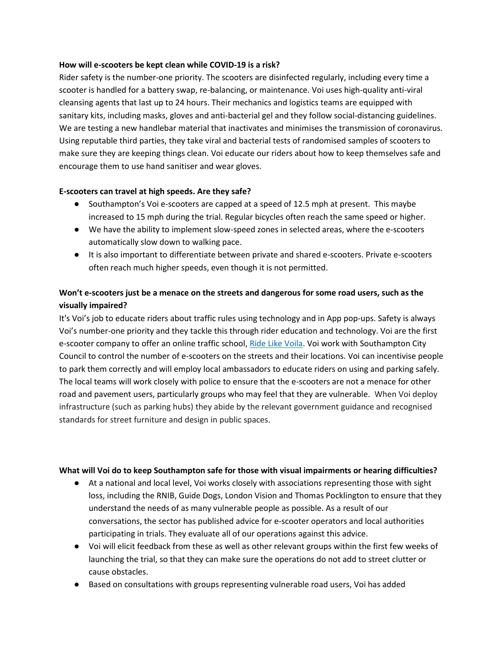### **How will e-scooters be kept clean while COVID-19 is a risk?**

Rider safety is the number-one priority. The scooters are disinfected regularly, including every time a scooter is handled for a battery swap, re-balancing, or maintenance. Voi uses high-quality anti-viral cleansing agents that last up to 24 hours. Their mechanics and logistics teams are equipped with sanitary kits, including masks, gloves and anti-bacterial gel and they follow social-distancing guidelines. We are testing a new handlebar material that inactivates and minimises the transmission of coronavirus. Using reputable third parties, they take viral and bacterial tests of randomised samples of scooters to make sure they are keeping things clean. Voi educate our riders about how to keep themselves safe and encourage them to use hand sanitiser and wear gloves.

# **E-scooters can travel at high speeds. Are they safe?**

- Southampton's Voi e-scooters are capped at a speed of 12.5 mph at present. This maybe increased to 15 mph during the trial. Regular bicycles often reach the same speed or higher.
- We have the ability to implement slow-speed zones in selected areas, where the e-scooters automatically slow down to walking pace.
- It is also important to differentiate between private and shared e-scooters. Private e-scooters often reach much higher speeds, even though it is not permitted.

# **Won't e-scooters just be a menace on the streets and dangerous for some road users, such as the visually impaired?**

It's Voi's job to educate riders about traffic rules using technology and in App pop-ups. Safety is always Voi's number-one priority and they tackle this through rider education and technology. Voi are the first e-scooter company to offer an online traffic school, [Ride Like Voila.](https://ridelikevoila.com/enter) Voi work with Southampton City Council to control the number of e-scooters on the streets and their locations. Voi can incentivise people to park them correctly and will employ local ambassadors to educate riders on using and parking safely. The local teams will work closely with police to ensure that the e-scooters are not a menace for other road and pavement users, particularly groups who may feel that they are vulnerable. When Voi deploy infrastructure (such as parking hubs) they abide by the relevant government guidance and recognised standards for street furniture and design in public spaces.

### **What will Voi do to keep Southampton safe for those with visual impairments or hearing difficulties?**

- At a national and local level, Voi works closely with associations representing those with sight loss, including the RNIB, Guide Dogs, London Vision and Thomas Pocklington to ensure that they understand the needs of as many vulnerable people as possible. As a result of our conversations, the sector has published advice for e-scooter operators and local authorities participating in trials. They evaluate all of our operations against this advice.
- Voi will elicit feedback from these as well as other relevant groups within the first few weeks of launching the trial, so that they can make sure the operations do not add to street clutter or cause obstacles.
- Based on consultations with groups representing vulnerable road users, Voi has added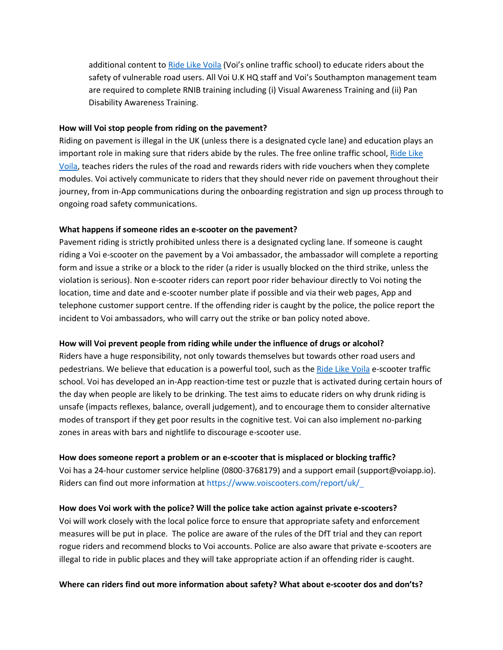additional content t[o Ride Like Voila](about:blank) (Voi's online traffic school) to educate riders about the safety of vulnerable road users. All Voi U.K HQ staff and Voi's Southampton management team are required to complete RNIB training including (i) Visual Awareness Training and (ii) Pan Disability Awareness Training.

#### **How will Voi stop people from riding on the pavement?**

Riding on pavement is illegal in the UK (unless there is a designated cycle lane) and education plays an important role in making sure that riders abide by the rules. The free online traffic school, Ride Like [Voila,](https://ridelikevoila.com/enter) teaches riders the rules of the road and rewards riders with ride vouchers when they complete modules. Voi actively communicate to riders that they should never ride on pavement throughout their journey, from in-App communications during the onboarding registration and sign up process through to ongoing road safety communications.

#### **What happens if someone rides an e-scooter on the pavement?**

Pavement riding is strictly prohibited unless there is a designated cycling lane. If someone is caught riding a Voi e-scooter on the pavement by a Voi ambassador, the ambassador will complete a reporting form and issue a strike or a block to the rider (a rider is usually blocked on the third strike, unless the violation is serious). Non e-scooter riders can report poor rider behaviour directly to Voi noting the location, time and date and e-scooter number plate if possible and via their web pages, App and telephone customer support centre. If the offending rider is caught by the police, the police report the incident to Voi ambassadors, who will carry out the strike or ban policy noted above.

### **How will Voi prevent people from riding while under the influence of drugs or alcohol?**

Riders have a huge responsibility, not only towards themselves but towards other road users and pedestrians. We believe that education is a powerful tool, such as th[e Ride Like Voila](https://ridelikevoila.com/enter) e-scooter traffic school. Voi has developed an in-App reaction-time test or puzzle that is activated during certain hours of the day when people are likely to be drinking. The test aims to educate riders on why drunk riding is unsafe (impacts reflexes, balance, overall judgement), and to encourage them to consider alternative modes of transport if they get poor results in the cognitive test. Voi can also implement no-parking zones in areas with bars and nightlife to discourage e-scooter use.

#### **How does someone report a problem or an e-scooter that is misplaced or blocking traffic?**

Voi has a 24-hour customer service helpline (0800-3768179) and a support email (support@voiapp.io). Riders can find out more information a[t https://www.voiscooters.com/report/uk/](https://urldefense.proofpoint.com/v2/url?u=https-3A__www.voiscooters.com_report_uk_&d=DwMFaQ&c=pbUzoxRZCRvayVvkYvkiMO6u1jPMdBrTZxWyx_2PsKs&r=aAjauI12nIwuuEmsNzF9cPliOyn6i84cmUswfu-RLDs&m=-YqYZhwyfppaHlXE7Xw0d18S2af6penZw42GxUVQD3Y&s=DoiUkaTvSYNvq01cIgMVdrH7gE9rY3y1ARSlHHBBjDw&e=) 

### **How does Voi work with the police? Will the police take action against private e-scooters?**

Voi will work closely with the local police force to ensure that appropriate safety and enforcement measures will be put in place. The police are aware of the rules of the DfT trial and they can report rogue riders and recommend blocks to Voi accounts. Police are also aware that private e-scooters are illegal to ride in public places and they will take appropriate action if an offending rider is caught.

### **Where can riders find out more information about safety? What about e-scooter dos and don'ts?**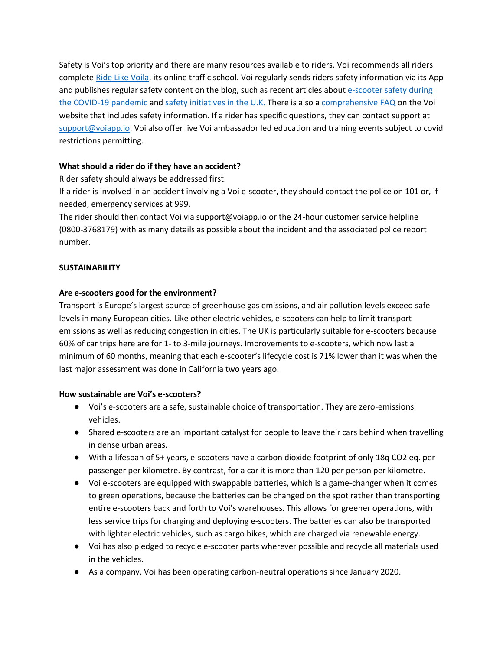Safety is Voi's top priority and there are many resources available to riders. Voi recommends all riders complet[e Ride Like Voila,](https://ridelikevoila.com/enter) its online traffic school. Voi regularly sends riders safety information via its App and publishes regular safety content on the blog, such as recent articles about e-scooter safety during [the COVID-19 pandemic](https://www.voiscooters.com/blog/covid-19-update/) and [safety initiatives in the U.K.](https://www.voiscooters.com/blog/putting-safety-first-in-the-uk/) There is also [a comprehensive FAQ](https://www.voiscooters.com/faq/) on the Voi website that includes safety information. If a rider has specific questions, they can contact support at [support@voiapp.io.](mailto:support@voiapp.io) Voi also offer live Voi ambassador led education and training events subject to covid restrictions permitting.

### **What should a rider do if they have an accident?**

Rider safety should always be addressed first.

If a rider is involved in an accident involving a Voi e-scooter, they should contact the police on 101 or, if needed, emergency services at 999.

The rider should then contact Voi via support@voiapp.io or the 24-hour customer service helpline (0800-3768179) with as many details as possible about the incident and the associated police report number.

# **SUSTAINABILITY**

# **Are e-scooters good for the environment?**

Transport is Europe's largest source of greenhouse gas emissions, and air pollution levels exceed safe levels in many European cities. Like other electric vehicles, e-scooters can help to limit transport emissions as well as reducing congestion in cities. The UK is particularly suitable for e-scooters because 60% of car trips here are for 1- to 3-mile journeys. Improvements to e-scooters, which now last a minimum of 60 months, meaning that each e-scooter's lifecycle cost is 71% lower than it was when the last major assessment was done in California two years ago.

### **How sustainable are Voi's e-scooters?**

- Voi's e-scooters are a safe, sustainable choice of transportation. They are zero-emissions vehicles.
- Shared e-scooters are an important catalyst for people to leave their cars behind when travelling in dense urban areas.
- With a lifespan of 5+ years, e-scooters have a carbon dioxide footprint of only 18q CO2 eq. per passenger per kilometre. By contrast, for a car it is more than 120 per person per kilometre.
- Voi e-scooters are equipped with swappable batteries, which is a game-changer when it comes to green operations, because the batteries can be changed on the spot rather than transporting entire e-scooters back and forth to Voi's warehouses. This allows for greener operations, with less service trips for charging and deploying e-scooters. The batteries can also be transported with lighter electric vehicles, such as cargo bikes, which are charged via renewable energy.
- Voi has also pledged to recycle e-scooter parts wherever possible and recycle all materials used in the vehicles.
- As a company, Voi has been operating carbon-neutral operations since January 2020.